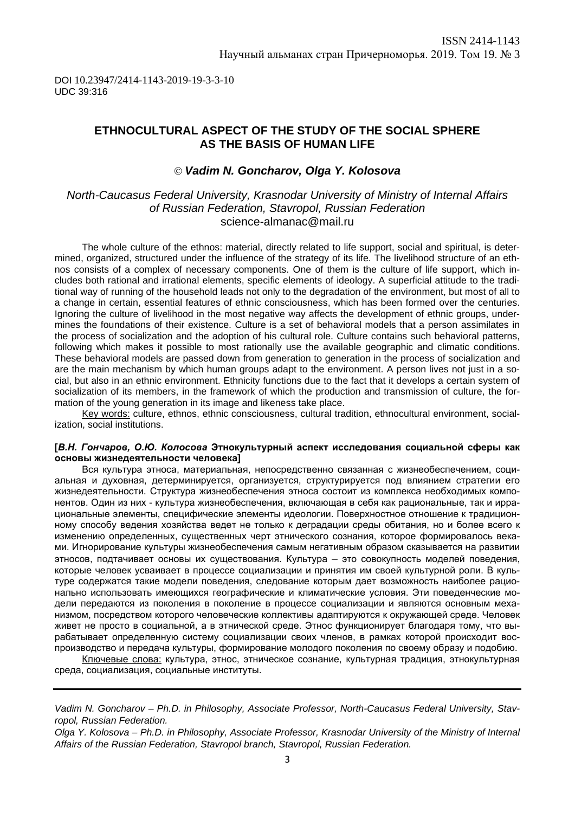# **ETHNOCULTURAL ASPECT OF THE STUDY OF THE SOCIAL SPHERE AS THE BASIS OF HUMAN LIFE**

### *Vadim N. Goncharov, Olga Y. Kolosova*

## *North-Caucasus Federal University, Krasnodar University of Ministry of Internal Affairs of Russian Federation, Stavropol, Russian Federation* [science-almanac@mail.ru](mailto:science-almanac@mail.ru)

The whole culture of the ethnos: material, directly related to life support, social and spiritual, is determined, organized, structured under the influence of the strategy of its life. The livelihood structure of an ethnos consists of a complex of necessary components. One of them is the culture of life support, which includes both rational and irrational elements, specific elements of ideology. A superficial attitude to the traditional way of running of the household leads not only to the degradation of the environment, but most of all to a change in certain, essential features of ethnic consciousness, which has been formed over the centuries. Ignoring the culture of livelihood in the most negative way affects the development of ethnic groups, undermines the foundations of their existence. Culture is a set of behavioral models that a person assimilates in the process of socialization and the adoption of his cultural role. Culture contains such behavioral patterns, following which makes it possible to most rationally use the available geographic and climatic conditions. These behavioral models are passed down from generation to generation in the process of socialization and are the main mechanism by which human groups adapt to the environment. A person lives not just in a social, but also in an ethnic environment. Ethnicity functions due to the fact that it develops a certain system of socialization of its members, in the framework of which the production and transmission of culture, the formation of the young generation in its image and likeness take place.

Key words: culture, ethnos, ethnic consciousness, cultural tradition, ethnocultural environment, socialization, social institutions.

#### **[***В.Н. Гончаров, О.Ю. Колосова* **Этнокультурный аспект исследования социальной сферы как основы жизнедеятельности человека]**

Вся культура этноса, материальная, непосредственно связанная с жизнеобеспечением, социальная и духовная, детерминируется, организуется, структурируется под влиянием стратегии его жизнедеятельности. Структура жизнеобеспечения этноса состоит из комплекса необходимых компонентов. Один из них - культура жизнеобеспечения, включающая в себя как рациональные, так и иррациональные элементы, специфические элементы идеологии. Поверхностное отношение к традиционному способу ведения хозяйства ведет не только к деградации среды обитания, но и более всего к изменению определенных, существенных черт этнического сознания, которое формировалось веками. Игнорирование культуры жизнеобеспечения самым негативным образом сказывается на развитии этносов, подтачивает основы их существования. Культура – это совокупность моделей поведения, которые человек усваивает в процессе социализации и принятия им своей культурной роли. В культуре содержатся такие модели поведения, следование которым дает возможность наиболее рационально использовать имеющихся географические и климатические условия. Эти поведенческие модели передаются из поколения в поколение в процессе социализации и являются основным механизмом, посредством которого человеческие коллективы адаптируются к окружающей среде. Человек живет не просто в социальной, а в этнической среде. Этнос функционирует благодаря тому, что вырабатывает определенную систему социализации своих членов, в рамках которой происходит воспроизводство и передача культуры, формирование молодого поколения по своему образу и подобию.

Ключевые слова: культура, этнос, этническое сознание, культурная традиция, этнокультурная среда, социализация, социальные институты.

*Vadim N. Goncharov – Ph.D. in Philosophy, Associate Professor, North-Caucasus Federal University, Stavropol, Russian Federation.*

*Olga Y. Kolosova – Ph.D. in Philosophy, Associate Professor, Krasnodar University of the Ministry of Internal Affairs of the Russian Federation, Stavropol branch, Stavropol, Russian Federation.*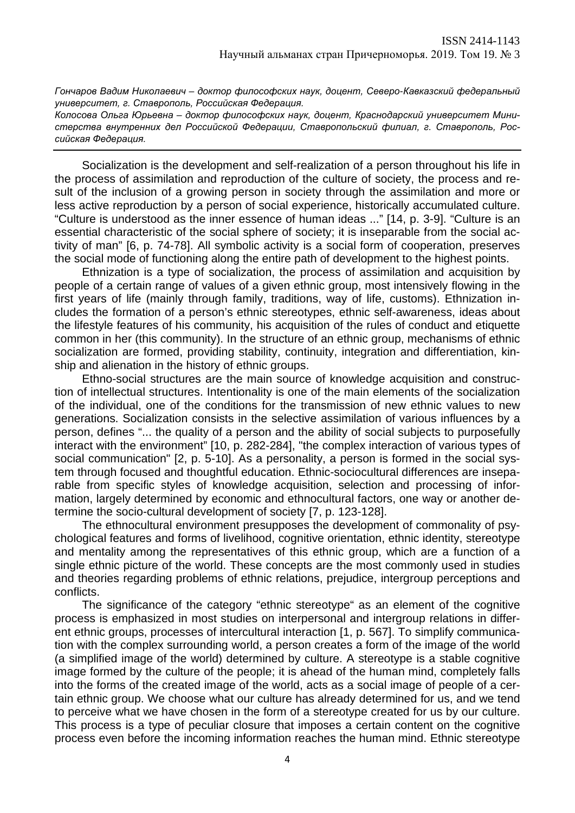*Гончаров Вадим Николаевич – доктор философских наук, доцент, Северо-Кавказский федеральный университет, г. Ставрополь, Российская Федерация.*

*Колосова Ольга Юрьевна – доктор философских наук, доцент, Краснодарский университет Министерства внутренних дел Российской Федерации, Ставропольский филиал, г. Ставрополь, Российская Федерация.* 

Socialization is the development and self-realization of a person throughout his life in the process of assimilation and reproduction of the culture of society, the process and result of the inclusion of a growing person in society through the assimilation and more or less active reproduction by a person of social experience, historically accumulated culture. "Culture is understood as the inner essence of human ideas ..." [14, p. 3-9]. "Culture is an essential characteristic of the social sphere of society; it is inseparable from the social activity of man" [6, p. 74-78]. All symbolic activity is a social form of cooperation, preserves the social mode of functioning along the entire path of development to the highest points.

Ethnization is a type of socialization, the process of assimilation and acquisition by people of a certain range of values of a given ethnic group, most intensively flowing in the first years of life (mainly through family, traditions, way of life, customs). Ethnization includes the formation of a person's ethnic stereotypes, ethnic self-awareness, ideas about the lifestyle features of his community, his acquisition of the rules of conduct and etiquette common in her (this community). In the structure of an ethnic group, mechanisms of ethnic socialization are formed, providing stability, continuity, integration and differentiation, kinship and alienation in the history of ethnic groups.

Ethno-social structures are the main source of knowledge acquisition and construction of intellectual structures. Intentionality is one of the main elements of the socialization of the individual, one of the conditions for the transmission of new ethnic values to new generations. Socialization consists in the selective assimilation of various influences by a person, defines "... the quality of a person and the ability of social subjects to purposefully interact with the environment" [10, p. 282-284], "the complex interaction of various types of social communication" [2, p. 5-10]. As a personality, a person is formed in the social system through focused and thoughtful education. Ethnic-sociocultural differences are inseparable from specific styles of knowledge acquisition, selection and processing of information, largely determined by economic and ethnocultural factors, one way or another determine the socio-cultural development of society [7, p. 123-128].

The ethnocultural environment presupposes the development of commonality of psychological features and forms of livelihood, cognitive orientation, ethnic identity, stereotype and mentality among the representatives of this ethnic group, which are a function of a single ethnic picture of the world. These concepts are the most commonly used in studies and theories regarding problems of ethnic relations, prejudice, intergroup perceptions and conflicts.

The significance of the category "ethnic stereotype" as an element of the cognitive process is emphasized in most studies on interpersonal and intergroup relations in different ethnic groups, processes of intercultural interaction [1, p. 567]. To simplify communication with the complex surrounding world, a person creates a form of the image of the world (a simplified image of the world) determined by culture. A stereotype is a stable cognitive image formed by the culture of the people; it is ahead of the human mind, completely falls into the forms of the created image of the world, acts as a social image of people of a certain ethnic group. We choose what our culture has already determined for us, and we tend to perceive what we have chosen in the form of a stereotype created for us by our culture. This process is a type of peculiar closure that imposes a certain content on the cognitive process even before the incoming information reaches the human mind. Ethnic stereotype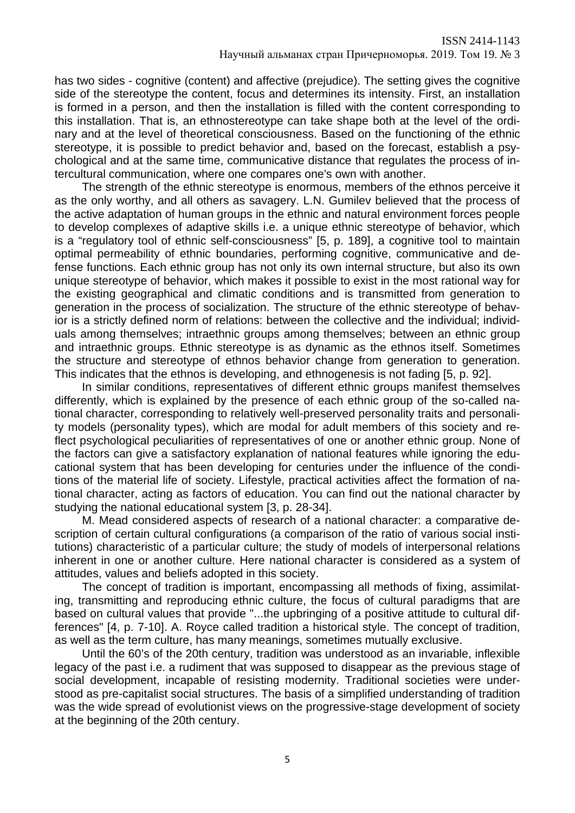has two sides - cognitive (content) and affective (prejudice). The setting gives the cognitive side of the stereotype the content, focus and determines its intensity. First, an installation is formed in a person, and then the installation is filled with the content corresponding to this installation. That is, an ethnostereotype can take shape both at the level of the ordinary and at the level of theoretical consciousness. Based on the functioning of the ethnic stereotype, it is possible to predict behavior and, based on the forecast, establish a psychological and at the same time, communicative distance that regulates the process of intercultural communication, where one compares one's own with another.

The strength of the ethnic stereotype is enormous, members of the ethnos perceive it as the only worthy, and all others as savagery. L.N. Gumilev believed that the process of the active adaptation of human groups in the ethnic and natural environment forces people to develop complexes of adaptive skills i.e. a unique ethnic stereotype of behavior, which is a "regulatory tool of ethnic self-consciousness" [5, p. 189], a cognitive tool to maintain optimal permeability of ethnic boundaries, performing cognitive, communicative and defense functions. Each ethnic group has not only its own internal structure, but also its own unique stereotype of behavior, which makes it possible to exist in the most rational way for the existing geographical and climatic conditions and is transmitted from generation to generation in the process of socialization. The structure of the ethnic stereotype of behavior is a strictly defined norm of relations: between the collective and the individual; individuals among themselves; intraethnic groups among themselves; between an ethnic group and intraethnic groups. Ethnic stereotype is as dynamic as the ethnos itself. Sometimes the structure and stereotype of ethnos behavior change from generation to generation. This indicates that the ethnos is developing, and ethnogenesis is not fading [5, p. 92].

In similar conditions, representatives of different ethnic groups manifest themselves differently, which is explained by the presence of each ethnic group of the so-called national character, corresponding to relatively well-preserved personality traits and personality models (personality types), which are modal for adult members of this society and reflect psychological peculiarities of representatives of one or another ethnic group. None of the factors can give a satisfactory explanation of national features while ignoring the educational system that has been developing for centuries under the influence of the conditions of the material life of society. Lifestyle, practical activities affect the formation of national character, acting as factors of education. You can find out the national character by studying the national educational system [3, p. 28-34].

M. Mead considered aspects of research of a national character: a comparative description of certain cultural configurations (a comparison of the ratio of various social institutions) characteristic of a particular culture; the study of models of interpersonal relations inherent in one or another culture. Here national character is considered as a system of attitudes, values and beliefs adopted in this society.

The concept of tradition is important, encompassing all methods of fixing, assimilating, transmitting and reproducing ethnic culture, the focus of cultural paradigms that are based on cultural values that provide "...the upbringing of a positive attitude to cultural differences" [4, p. 7-10]. A. Royce called tradition a historical style. The concept of tradition, as well as the term culture, has many meanings, sometimes mutually exclusive.

Until the 60's of the 20th century, tradition was understood as an invariable, inflexible legacy of the past i.e. a rudiment that was supposed to disappear as the previous stage of social development, incapable of resisting modernity. Traditional societies were understood as pre-capitalist social structures. The basis of a simplified understanding of tradition was the wide spread of evolutionist views on the progressive-stage development of society at the beginning of the 20th century.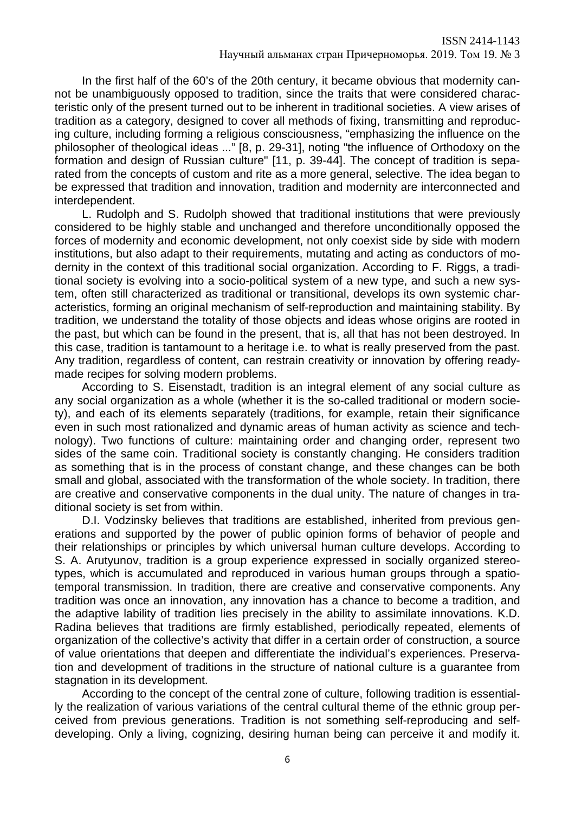In the first half of the 60's of the 20th century, it became obvious that modernity cannot be unambiguously opposed to tradition, since the traits that were considered characteristic only of the present turned out to be inherent in traditional societies. A view arises of tradition as a category, designed to cover all methods of fixing, transmitting and reproducing culture, including forming a religious consciousness, "emphasizing the influence on the philosopher of theological ideas ..." [8, p. 29-31], noting "the influence of Orthodoxy on the formation and design of Russian culture" [11, p. 39-44]. The concept of tradition is separated from the concepts of custom and rite as a more general, selective. The idea began to be expressed that tradition and innovation, tradition and modernity are interconnected and interdependent.

L. Rudolph and S. Rudolph showed that traditional institutions that were previously considered to be highly stable and unchanged and therefore unconditionally opposed the forces of modernity and economic development, not only coexist side by side with modern institutions, but also adapt to their requirements, mutating and acting as conductors of modernity in the context of this traditional social organization. According to F. Riggs, a traditional society is evolving into a socio-political system of a new type, and such a new system, often still characterized as traditional or transitional, develops its own systemic characteristics, forming an original mechanism of self-reproduction and maintaining stability. By tradition, we understand the totality of those objects and ideas whose origins are rooted in the past, but which can be found in the present, that is, all that has not been destroyed. In this case, tradition is tantamount to a heritage i.e. to what is really preserved from the past. Any tradition, regardless of content, can restrain creativity or innovation by offering readymade recipes for solving modern problems.

According to S. Eisenstadt, tradition is an integral element of any social culture as any social organization as a whole (whether it is the so-called traditional or modern society), and each of its elements separately (traditions, for example, retain their significance even in such most rationalized and dynamic areas of human activity as science and technology). Two functions of culture: maintaining order and changing order, represent two sides of the same coin. Traditional society is constantly changing. He considers tradition as something that is in the process of constant change, and these changes can be both small and global, associated with the transformation of the whole society. In tradition, there are creative and conservative components in the dual unity. The nature of changes in traditional society is set from within.

D.I. Vodzinsky believes that traditions are established, inherited from previous generations and supported by the power of public opinion forms of behavior of people and their relationships or principles by which universal human culture develops. According to S. A. Arutyunov, tradition is a group experience expressed in socially organized stereotypes, which is accumulated and reproduced in various human groups through a spatiotemporal transmission. In tradition, there are creative and conservative components. Any tradition was once an innovation, any innovation has a chance to become a tradition, and the adaptive lability of tradition lies precisely in the ability to assimilate innovations. K.D. Radina believes that traditions are firmly established, periodically repeated, elements of organization of the collective's activity that differ in a certain order of construction, a source of value orientations that deepen and differentiate the individual's experiences. Preservation and development of traditions in the structure of national culture is a guarantee from stagnation in its development.

According to the concept of the central zone of culture, following tradition is essentially the realization of various variations of the central cultural theme of the ethnic group perceived from previous generations. Tradition is not something self-reproducing and selfdeveloping. Only a living, cognizing, desiring human being can perceive it and modify it.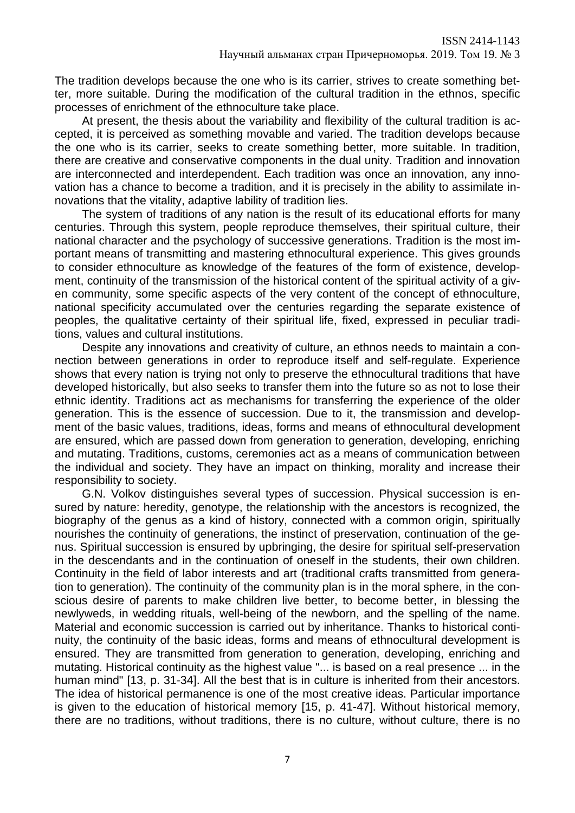The tradition develops because the one who is its carrier, strives to create something better, more suitable. During the modification of the cultural tradition in the ethnos, specific processes of enrichment of the ethnoculture take place.

At present, the thesis about the variability and flexibility of the cultural tradition is accepted, it is perceived as something movable and varied. The tradition develops because the one who is its carrier, seeks to create something better, more suitable. In tradition, there are creative and conservative components in the dual unity. Tradition and innovation are interconnected and interdependent. Each tradition was once an innovation, any innovation has a chance to become a tradition, and it is precisely in the ability to assimilate innovations that the vitality, adaptive lability of tradition lies.

The system of traditions of any nation is the result of its educational efforts for many centuries. Through this system, people reproduce themselves, their spiritual culture, their national character and the psychology of successive generations. Tradition is the most important means of transmitting and mastering ethnocultural experience. This gives grounds to consider ethnoculture as knowledge of the features of the form of existence, development, continuity of the transmission of the historical content of the spiritual activity of a given community, some specific aspects of the very content of the concept of ethnoculture, national specificity accumulated over the centuries regarding the separate existence of peoples, the qualitative certainty of their spiritual life, fixed, expressed in peculiar traditions, values and cultural institutions.

Despite any innovations and creativity of culture, an ethnos needs to maintain a connection between generations in order to reproduce itself and self-regulate. Experience shows that every nation is trying not only to preserve the ethnocultural traditions that have developed historically, but also seeks to transfer them into the future so as not to lose their ethnic identity. Traditions act as mechanisms for transferring the experience of the older generation. This is the essence of succession. Due to it, the transmission and development of the basic values, traditions, ideas, forms and means of ethnocultural development are ensured, which are passed down from generation to generation, developing, enriching and mutating. Traditions, customs, ceremonies act as a means of communication between the individual and society. They have an impact on thinking, morality and increase their responsibility to society.

G.N. Volkov distinguishes several types of succession. Physical succession is ensured by nature: heredity, genotype, the relationship with the ancestors is recognized, the biography of the genus as a kind of history, connected with a common origin, spiritually nourishes the continuity of generations, the instinct of preservation, continuation of the genus. Spiritual succession is ensured by upbringing, the desire for spiritual self-preservation in the descendants and in the continuation of oneself in the students, their own children. Continuity in the field of labor interests and art (traditional crafts transmitted from generation to generation). The continuity of the community plan is in the moral sphere, in the conscious desire of parents to make children live better, to become better, in blessing the newlyweds, in wedding rituals, well-being of the newborn, and the spelling of the name. Material and economic succession is carried out by inheritance. Thanks to historical continuity, the continuity of the basic ideas, forms and means of ethnocultural development is ensured. They are transmitted from generation to generation, developing, enriching and mutating. Historical continuity as the highest value "... is based on a real presence ... in the human mind" [13, p. 31-34]. All the best that is in culture is inherited from their ancestors. The idea of historical permanence is one of the most creative ideas. Particular importance is given to the education of historical memory [15, p. 41-47]. Without historical memory, there are no traditions, without traditions, there is no culture, without culture, there is no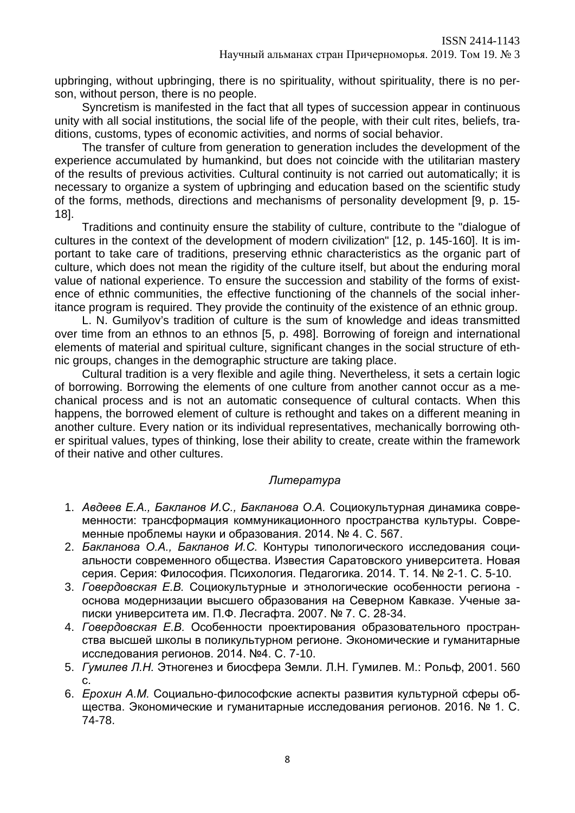upbringing, without upbringing, there is no spirituality, without spirituality, there is no person, without person, there is no people.

Syncretism is manifested in the fact that all types of succession appear in continuous unity with all social institutions, the social life of the people, with their cult rites, beliefs, traditions, customs, types of economic activities, and norms of social behavior.

The transfer of culture from generation to generation includes the development of the experience accumulated by humankind, but does not coincide with the utilitarian mastery of the results of previous activities. Cultural continuity is not carried out automatically; it is necessary to organize a system of upbringing and education based on the scientific study of the forms, methods, directions and mechanisms of personality development [9, p. 15- 18].

Traditions and continuity ensure the stability of culture, contribute to the "dialogue of cultures in the context of the development of modern civilization" [12, p. 145-160]. It is important to take care of traditions, preserving ethnic characteristics as the organic part of culture, which does not mean the rigidity of the culture itself, but about the enduring moral value of national experience. To ensure the succession and stability of the forms of existence of ethnic communities, the effective functioning of the channels of the social inheritance program is required. They provide the continuity of the existence of an ethnic group.

L. N. Gumilyov's tradition of culture is the sum of knowledge and ideas transmitted over time from an ethnos to an ethnos [5, p. 498]. Borrowing of foreign and international elements of material and spiritual culture, significant changes in the social structure of ethnic groups, changes in the demographic structure are taking place.

Cultural tradition is a very flexible and agile thing. Nevertheless, it sets a certain logic of borrowing. Borrowing the elements of one culture from another cannot occur as a mechanical process and is not an automatic consequence of cultural contacts. When this happens, the borrowed element of culture is rethought and takes on a different meaning in another culture. Every nation or its individual representatives, mechanically borrowing other spiritual values, types of thinking, lose their ability to create, create within the framework of their native and other cultures.

# *Литература*

- 1. *Авдеев Е.А., Бакланов И.С., Бакланова О.А.* Социокультурная динамика современности: трансформация коммуникационного пространства культуры. Современные проблемы науки и образования. 2014. № 4. С. 567.
- 2. *Бакланова О.А., Бакланов И.С.* Контуры типологического исследования социальности современного общества. Известия Саратовского университета. Новая серия. Серия: Философия. Психология. Педагогика. 2014. Т. 14. № 2-1. С. 5-10.
- 3. *Говердовская Е.В.* Социокультурные и этнологические особенности региона основа модернизации высшего образования на Северном Кавказе. Ученые записки университета им. П.Ф. Лесгафта. 2007. № 7. С. 28-34.
- 4. *Говердовская Е.В.* Особенности проектирования образовательного пространства высшей школы в поликультурном регионе. Экономические и гуманитарные исследования регионов. 2014. №4. С. 7-10.
- 5. *Гумилев Л.Н.* Этногенез и биосфера Земли. Л.Н. Гумилев. М.: Рольф, 2001. 560 с.
- 6. *Ерохин А.М.* Социально-философские аспекты развития культурной сферы общества. Экономические и гуманитарные исследования регионов. 2016. № 1. С. 74-78.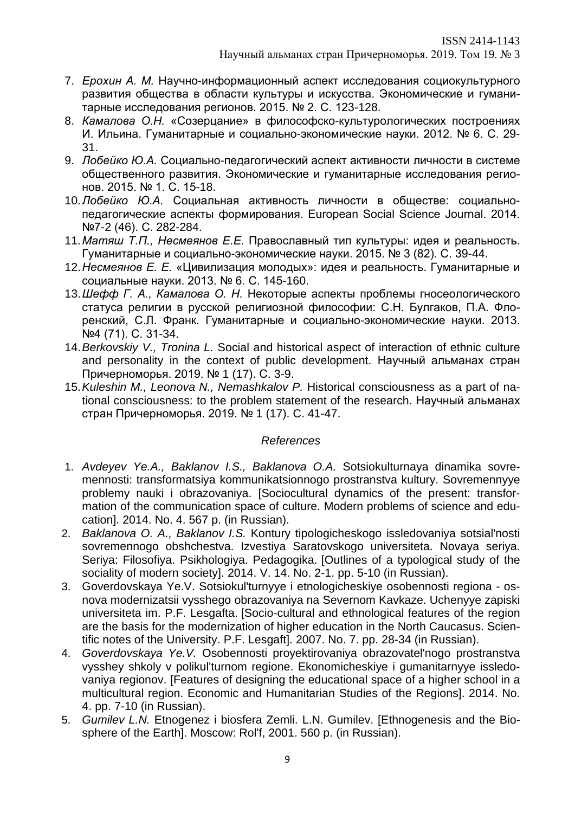- 7. *Ерохин А. М.* Научно-информационный аспект исследования социокультурного развития общества в области культуры и искусства. Экономические и гуманитарные исследования регионов. 2015. № 2. С. 123-128.
- 8. *Камалова О.Н.* «Созерцание» в философско-культурологических построениях И. Ильина. Гуманитарные и социально-экономические науки. 2012. № 6. С. 29- 31.
- 9. *Лобейко Ю.А.* Социально-педагогический аспект активности личности в системе общественного развития. Экономические и гуманитарные исследования регионов. 2015. № 1. С. 15-18.
- 10.*Лобейко Ю.А.* Социальная активность личности в обществе: социальнопедагогические аспекты формирования. European Social Science Journal. 2014. №7-2 (46). С. 282-284.
- 11.*Матяш Т.П., Несмеянов Е.Е.* Православный тип культуры: идея и реальность. Гуманитарные и социально-экономические науки. 2015. № 3 (82). С. 39-44.
- 12.*Несмеянов Е. Е.* «Цивилизация молодых»: идея и реальность. Гуманитарные и социальные науки. 2013. № 6. С. 145-160.
- 13.*Шефф Г. А., Камалова О. Н.* Некоторые аспекты проблемы гносеологического статуса религии в русской религиозной философии: С.Н. Булгаков, П.А. Флоренский, С.Л. Франк. Гуманитарные и социально-экономические науки. 2013. №4 (71). С. 31-34.
- 14.*Berkovskiy V., Tronina L.* Social and historical aspect of interaction of ethnic culture and personality in the context of public development. Научный альманах стран Причерноморья. 2019. № 1 (17). С. 3-9.
- 15.*Kuleshin M., Leonova N., Nemashkalov P.* Historical consciousness as a part of national consciousness: to the problem statement of the research. Научный альманах стран Причерноморья. 2019. № 1 (17). C. 41-47.

## *References*

- 1. *Avdeyev Ye.A., Baklanov I.S., Baklanova O.A.* Sotsiokulturnaya dinamika sovremennosti: transformatsiya kommunikatsionnogo prostranstva kultury. Sovremennyye problemy nauki i obrazovaniya. [Sociocultural dynamics of the present: transformation of the communication space of culture. Modern problems of science and education]. 2014. No. 4. 567 p. (in Russian).
- 2. *Baklanova O. A., Baklanov I.S.* Kontury tipologicheskogo issledovaniya sotsial'nosti sovremennogo obshchestva. Izvestiya Saratovskogo universiteta. Novaya seriya. Seriya: Filosofiya. Psikhologiya. Pedagogika. [Outlines of a typological study of the sociality of modern society]. 2014. V. 14. No. 2-1. pp. 5-10 (in Russian).
- 3. Goverdovskaya Ye.V. Sotsiokul'turnyye i etnologicheskiye osobennosti regiona osnova modernizatsii vysshego obrazovaniya na Severnom Kavkaze. Uchenyye zapiski universiteta im. P.F. Lesgafta. [Socio-cultural and ethnological features of the region are the basis for the modernization of higher education in the North Caucasus. Scientific notes of the University. P.F. Lesgaft]. 2007. No. 7. pp. 28-34 (in Russian).
- 4. *Goverdovskaya Ye.V.* Osobennosti proyektirovaniya obrazovatel'nogo prostranstva vysshey shkoly v polikul'turnom regione. Ekonomicheskiye i gumanitarnyye issledovaniya regionov. [Features of designing the educational space of a higher school in a multicultural region. Economic and Humanitarian Studies of the Regions]. 2014. No. 4. pp. 7-10 (in Russian).
- 5. *Gumilev L.N.* Etnogenez i biosfera Zemli. L.N. Gumilev. [Ethnogenesis and the Biosphere of the Earth]. Moscow: Rol'f, 2001. 560 p. (in Russian).